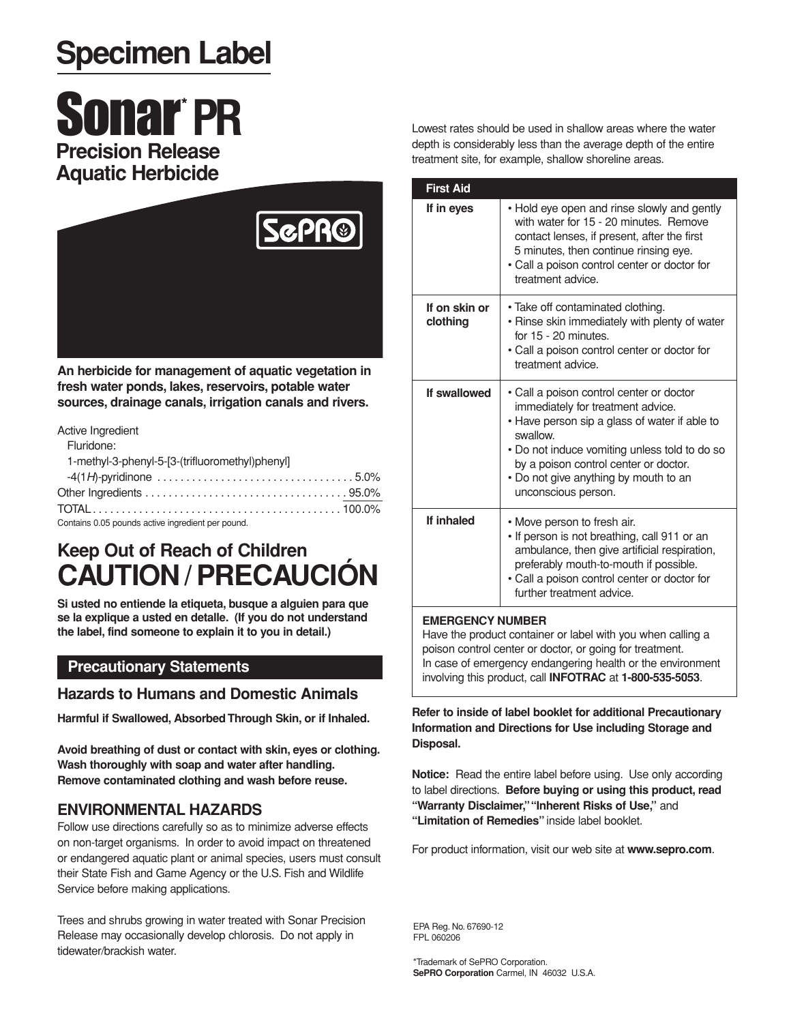## **Specimen Label**

# **Sonar**\* PR **Precision Release**



**An herbicide for management of aquatic vegetation in fresh water ponds, lakes, reservoirs, potable water sources, drainage canals, irrigation canals and rivers.**

#### Active Ingredient

| Fluridone:                                      |
|-------------------------------------------------|
| 1-methyl-3-phenyl-5-[3-(trifluoromethyl)phenyl] |
|                                                 |
|                                                 |
|                                                 |

Contains 0.05 pounds active ingredient per pound.

### **Keep Out of Reach of Children CAUTION/PRECAUCIÓN**

**Si usted no entiende la etiqueta, busque a alguien para que se la explique a usted en detalle. (If you do not understand the label, find someone to explain it to you in detail.)**

#### **Precautionary Statements**

#### **Hazards to Humans and Domestic Animals**

**Harmful if Swallowed, Absorbed Through Skin, or if Inhaled.**

**Avoid breathing of dust or contact with skin, eyes or clothing. Wash thoroughly with soap and water after handling. Remove contaminated clothing and wash before reuse.**

#### **ENVIRONMENTAL HAZARDS**

Follow use directions carefully so as to minimize adverse effects on non-target organisms. In order to avoid impact on threatened or endangered aquatic plant or animal species, users must consult their State Fish and Game Agency or the U.S. Fish and Wildlife Service before making applications.

Trees and shrubs growing in water treated with Sonar Precision Release may occasionally develop chlorosis. Do not apply in tidewater/brackish water.

Lowest rates should be used in shallow areas where the water depth is considerably less than the average depth of the entire treatment site, for example, shallow shoreline areas.

| <b>First Aid</b>          |                                                                                                                                                                                                                                                                                                      |
|---------------------------|------------------------------------------------------------------------------------------------------------------------------------------------------------------------------------------------------------------------------------------------------------------------------------------------------|
| If in eyes                | • Hold eye open and rinse slowly and gently<br>with water for 15 - 20 minutes. Remove<br>contact lenses, if present, after the first<br>5 minutes, then continue rinsing eye.<br>· Call a poison control center or doctor for<br>treatment advice.                                                   |
| If on skin or<br>clothing | • Take off contaminated clothing.<br>• Rinse skin immediately with plenty of water<br>for 15 - 20 minutes.<br>• Call a poison control center or doctor for<br>treatment advice.                                                                                                                      |
| If swallowed              | • Call a poison control center or doctor<br>immediately for treatment advice.<br>• Have person sip a glass of water if able to<br>swallow.<br>• Do not induce vomiting unless told to do so<br>by a poison control center or doctor.<br>• Do not give anything by mouth to an<br>unconscious person. |
| If inhaled                | • Move person to fresh air.<br>. If person is not breathing, call 911 or an<br>ambulance, then give artificial respiration,<br>preferably mouth-to-mouth if possible.<br>• Call a poison control center or doctor for<br>further treatment advice.                                                   |

#### **EMERGENCY NUMBER**

Have the product container or label with you when calling a poison control center or doctor, or going for treatment. In case of emergency endangering health or the environment involving this product, call **INFOTRAC** at **1-800-535-5053**.

#### **Refer to inside of label booklet for additional Precautionary Information and Directions for Use including Storage and Disposal.**

**Notice:** Read the entire label before using. Use only according to label directions. **Before buying or using this product, read "Warranty Disclaimer,""Inherent Risks of Use,"** and **"Limitation of Remedies"** inside label booklet.

For product information, visit our web site at **www.sepro.com**.

EPA Reg. No. 67690-12 FPL 060206

\*Trademark of SePRO Corporation. **SePRO Corporation** Carmel, IN 46032 U.S.A.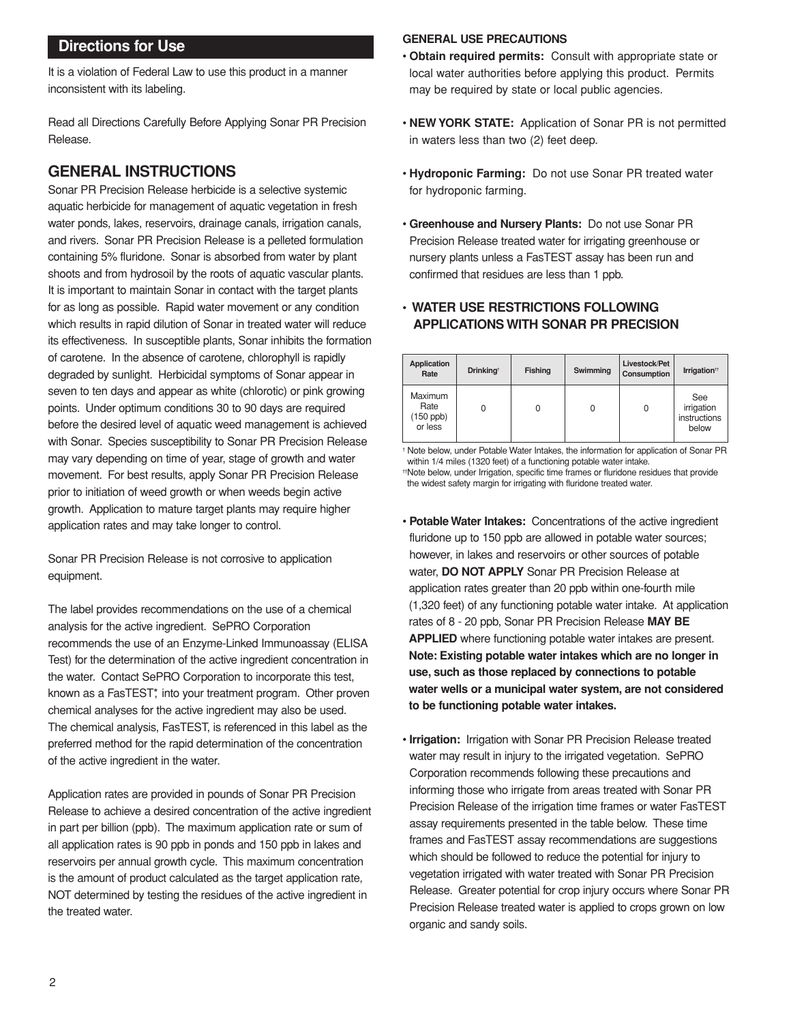It is a violation of Federal Law to use this product in a manner inconsistent with its labeling.

Read all Directions Carefully Before Applying Sonar PR Precision Release.

#### **GENERAL INSTRUCTIONS**

Sonar PR Precision Release herbicide is a selective systemic aquatic herbicide for management of aquatic vegetation in fresh water ponds, lakes, reservoirs, drainage canals, irrigation canals, and rivers. Sonar PR Precision Release is a pelleted formulation containing 5% fluridone. Sonar is absorbed from water by plant shoots and from hydrosoil by the roots of aquatic vascular plants. It is important to maintain Sonar in contact with the target plants for as long as possible. Rapid water movement or any condition which results in rapid dilution of Sonar in treated water will reduce its effectiveness. In susceptible plants, Sonar inhibits the formation of carotene. In the absence of carotene, chlorophyll is rapidly degraded by sunlight. Herbicidal symptoms of Sonar appear in seven to ten days and appear as white (chlorotic) or pink growing points. Under optimum conditions 30 to 90 days are required before the desired level of aquatic weed management is achieved with Sonar. Species susceptibility to Sonar PR Precision Release may vary depending on time of year, stage of growth and water movement. For best results, apply Sonar PR Precision Release prior to initiation of weed growth or when weeds begin active growth. Application to mature target plants may require higher application rates and may take longer to control.

Sonar PR Precision Release is not corrosive to application equipment.

The label provides recommendations on the use of a chemical analysis for the active ingredient. SePRO Corporation recommends the use of an Enzyme-Linked Immunoassay (ELISA Test) for the determination of the active ingredient concentration in the water. Contact SePRO Corporation to incorporate this test, known as a FasTEST<sup>\*</sup>, into your treatment program. Other proven chemical analyses for the active ingredient may also be used. The chemical analysis, FasTEST, is referenced in this label as the preferred method for the rapid determination of the concentration of the active ingredient in the water.

Application rates are provided in pounds of Sonar PR Precision Release to achieve a desired concentration of the active ingredient in part per billion (ppb). The maximum application rate or sum of all application rates is 90 ppb in ponds and 150 ppb in lakes and reservoirs per annual growth cycle. This maximum concentration is the amount of product calculated as the target application rate, NOT determined by testing the residues of the active ingredient in the treated water.

#### **Directions for Use GENERAL USE PRECAUTIONS**

- **Obtain required permits:** Consult with appropriate state or local water authorities before applying this product. Permits may be required by state or local public agencies.
- **NEW YORK STATE:** Application of Sonar PR is not permitted in waters less than two (2) feet deep.
- **Hydroponic Farming:** Do not use Sonar PR treated water for hydroponic farming.
- **Greenhouse and Nursery Plants:** Do not use Sonar PR Precision Release treated water for irrigating greenhouse or nursery plants unless a FasTEST assay has been run and confirmed that residues are less than 1 ppb.

#### • **WATER USE RESTRICTIONS FOLLOWING APPLICATIONS WITH SONAR PR PRECISION**

| Application<br>Rate                              | <b>Drinking</b> <sup>t</sup> | <b>Fishing</b> | Swimming | Livestock/Pet<br>Consumption | Irrigation <sup>#</sup>                    |
|--------------------------------------------------|------------------------------|----------------|----------|------------------------------|--------------------------------------------|
| <b>Maximum</b><br>Rate<br>$(150$ ppb)<br>or less | 0                            | 0              | 0        | 0                            | See<br>irrigation<br>instructions<br>below |

† Note below, under Potable Water Intakes, the information for application of Sonar PR within 1/4 miles (1320 feet) of a functioning potable water intake. ††Note below, under Irrigation, specific time frames or fluridone residues that provide the widest safety margin for irrigating with fluridone treated water.

- **Potable Water Intakes:** Concentrations of the active ingredient fluridone up to 150 ppb are allowed in potable water sources; however, in lakes and reservoirs or other sources of potable water, **DO NOT APPLY** Sonar PR Precision Release at application rates greater than 20 ppb within one-fourth mile (1,320 feet) of any functioning potable water intake. At application rates of 8 - 20 ppb, Sonar PR Precision Release **MAY BE APPLIED** where functioning potable water intakes are present. **Note: Existing potable water intakes which are no longer in use, such as those replaced by connections to potable water wells or a municipal water system, are not considered to be functioning potable water intakes.**
- **Irrigation:** Irrigation with Sonar PR Precision Release treated water may result in injury to the irrigated vegetation. SePRO Corporation recommends following these precautions and informing those who irrigate from areas treated with Sonar PR Precision Release of the irrigation time frames or water FasTEST assay requirements presented in the table below. These time frames and FasTEST assay recommendations are suggestions which should be followed to reduce the potential for injury to vegetation irrigated with water treated with Sonar PR Precision Release. Greater potential for crop injury occurs where Sonar PR Precision Release treated water is applied to crops grown on low organic and sandy soils.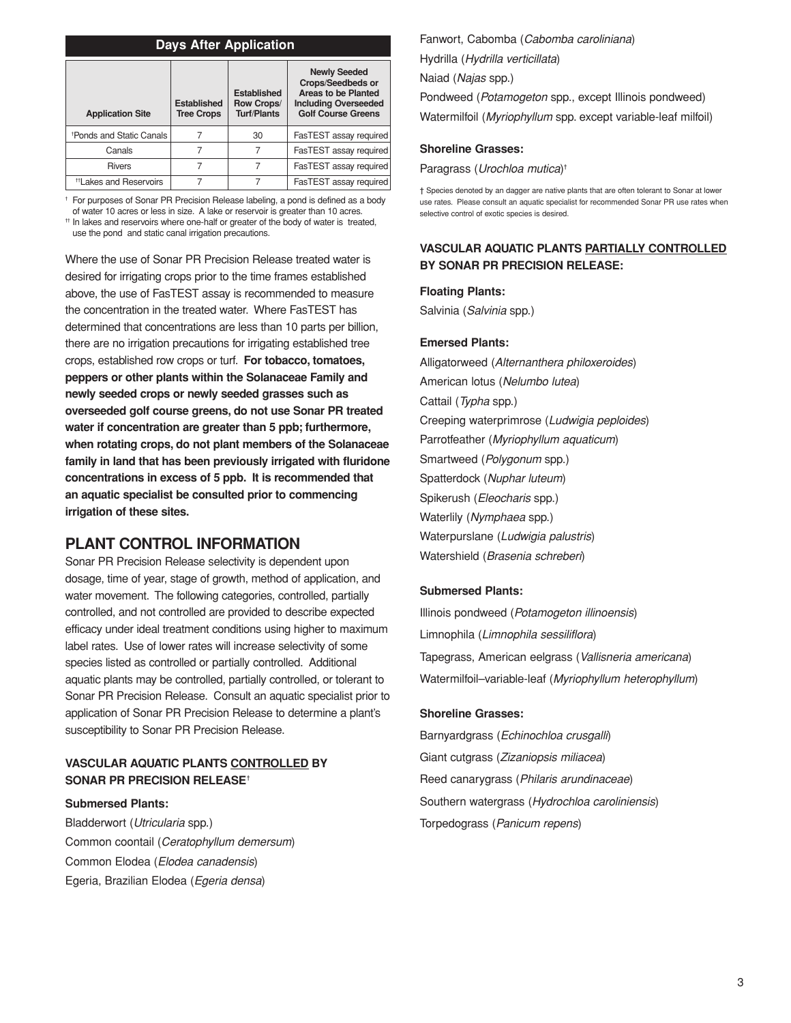| <b>Days After Application</b>        |                                         |                                                               |                                                                                                                             |  |  |
|--------------------------------------|-----------------------------------------|---------------------------------------------------------------|-----------------------------------------------------------------------------------------------------------------------------|--|--|
| <b>Application Site</b>              | <b>Established</b><br><b>Tree Crops</b> | <b>Established</b><br><b>Row Crops/</b><br><b>Turf/Plants</b> | <b>Newly Seeded</b><br>Crops/Seedbeds or<br>Areas to be Planted<br><b>Including Overseeded</b><br><b>Golf Course Greens</b> |  |  |
| <sup>†</sup> Ponds and Static Canals |                                         | 30                                                            | FasTEST assay required                                                                                                      |  |  |
| Canals                               | 7                                       | 7                                                             | FasTEST assay required                                                                                                      |  |  |
| <b>Rivers</b>                        | 7                                       | 7                                                             | FasTEST assay required                                                                                                      |  |  |
| <sup>#</sup> Lakes and Reservoirs    |                                         | 7                                                             | FasTEST assay required                                                                                                      |  |  |

† For purposes of Sonar PR Precision Release labeling, a pond is defined as a body

of water 10 acres or less in size. A lake or reservoir is greater than 10 acres. †† In lakes and reservoirs where one-half or greater of the body of water is treated, use the pond and static canal irrigation precautions.

Where the use of Sonar PR Precision Release treated water is desired for irrigating crops prior to the time frames established above, the use of FasTEST assay is recommended to measure the concentration in the treated water. Where FasTEST has determined that concentrations are less than 10 parts per billion, there are no irrigation precautions for irrigating established tree crops, established row crops or turf. **For tobacco, tomatoes, peppers or other plants within the Solanaceae Family and newly seeded crops or newly seeded grasses such as overseeded golf course greens, do not use Sonar PR treated water if concentration are greater than 5 ppb; furthermore, when rotating crops, do not plant members of the Solanaceae family in land that has been previously irrigated with fluridone concentrations in excess of 5 ppb. It is recommended that an aquatic specialist be consulted prior to commencing irrigation of these sites.**

#### **PLANT CONTROL INFORMATION**

Sonar PR Precision Release selectivity is dependent upon dosage, time of year, stage of growth, method of application, and water movement. The following categories, controlled, partially controlled, and not controlled are provided to describe expected efficacy under ideal treatment conditions using higher to maximum label rates. Use of lower rates will increase selectivity of some species listed as controlled or partially controlled. Additional aquatic plants may be controlled, partially controlled, or tolerant to Sonar PR Precision Release. Consult an aquatic specialist prior to application of Sonar PR Precision Release to determine a plant's susceptibility to Sonar PR Precision Release.

#### **VASCULAR AQUATIC PLANTS CONTROLLED BY SONAR PR PRECISION RELEASE**†

#### **Submersed Plants:**

Bladderwort (Utricularia spp.) Common coontail (Ceratophyllum demersum) Common Elodea (Elodea canadensis) Egeria, Brazilian Elodea (Egeria densa)

Fanwort, Cabomba (Cabomba caroliniana) Hydrilla (Hydrilla verticillata) Naiad (Najas spp.) Pondweed (Potamogeton spp., except Illinois pondweed) Watermilfoil (Myriophyllum spp. except variable-leaf milfoil)

#### **Shoreline Grasses:**

Paragrass (Urochloa mutica) †

† Species denoted by an dagger are native plants that are often tolerant to Sonar at lower use rates. Please consult an aquatic specialist for recommended Sonar PR use rates when selective control of exotic species is desired.

#### **VASCULAR AQUATIC PLANTS PARTIALLY CONTROLLED BY SONAR PR PRECISION RELEASE:**

#### **Floating Plants:**

Salvinia (Salvinia spp.)

#### **Emersed Plants:**

Alligatorweed (Alternanthera philoxeroides) American lotus (Nelumbo lutea) Cattail (Typha spp.) Creeping waterprimrose (Ludwigia peploides) Parrotfeather (Myriophyllum aquaticum) Smartweed (Polygonum spp.) Spatterdock (Nuphar luteum) Spikerush (Eleocharis spp.) Waterlily (Nymphaea spp.) Waterpurslane (Ludwigia palustris) Watershield (Brasenia schreberi)

#### **Submersed Plants:**

Illinois pondweed (Potamogeton illinoensis) Limnophila (Limnophila sessiliflora) Tapegrass, American eelgrass (Vallisneria americana) Watermilfoil–variable-leaf (Myriophyllum heterophyllum)

#### **Shoreline Grasses:**

Barnyardgrass (Echinochloa crusgalli) Giant cutgrass (Zizaniopsis miliacea) Reed canarygrass (Philaris arundinaceae) Southern watergrass (Hydrochloa caroliniensis) Torpedograss (Panicum repens)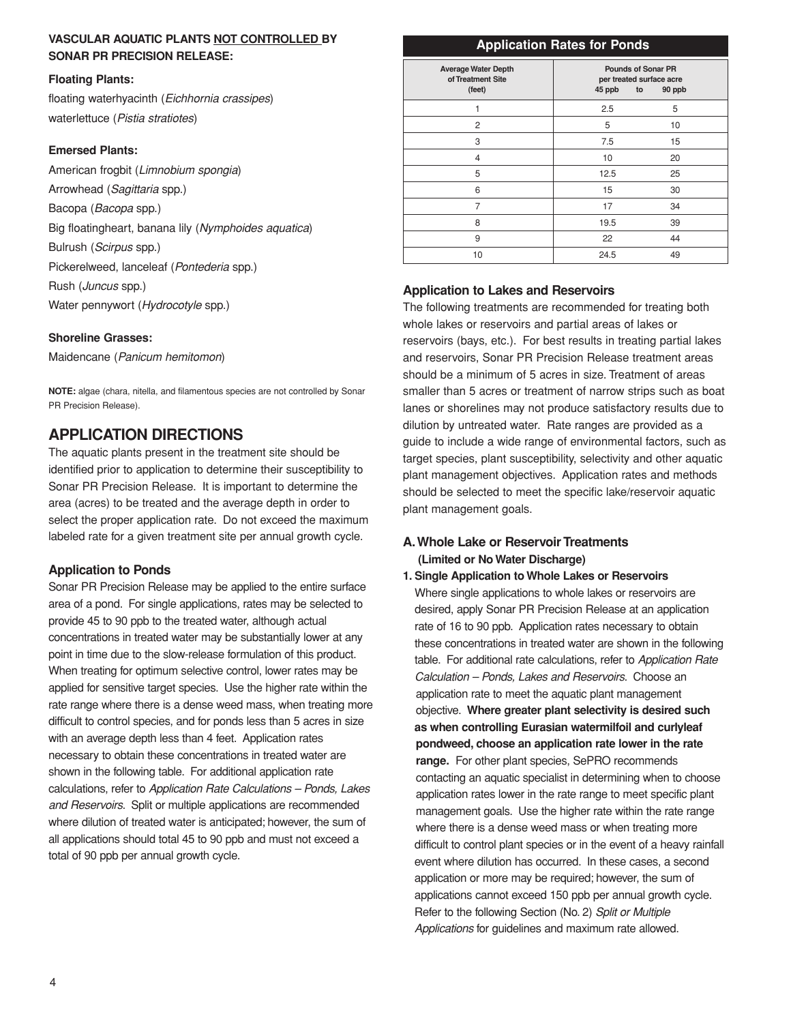#### **VASCULAR AQUATIC PLANTS NOT CONTROLLED BY SONAR PR PRECISION RELEASE:**

#### **Floating Plants:**

floating waterhyacinth (Eichhornia crassipes) waterlettuce (Pistia stratiotes)

#### **Emersed Plants:**

American frogbit (Limnobium spongia) Arrowhead (Sagittaria spp.) Bacopa (Bacopa spp.) Big floatingheart, banana lily (Nymphoides aquatica) Bulrush (Scirpus spp.) Pickerelweed, lanceleaf (Pontederia spp.) Rush (Juncus spp.) Water pennywort (Hydrocotyle spp.)

#### **Shoreline Grasses:**

Maidencane (Panicum hemitomon)

**NOTE:** algae (chara, nitella, and filamentous species are not controlled by Sonar PR Precision Release).

### **APPLICATION DIRECTIONS**

The aquatic plants present in the treatment site should be identified prior to application to determine their susceptibility to Sonar PR Precision Release. It is important to determine the area (acres) to be treated and the average depth in order to select the proper application rate. Do not exceed the maximum labeled rate for a given treatment site per annual growth cycle.

#### **Application to Ponds**

Sonar PR Precision Release may be applied to the entire surface area of a pond. For single applications, rates may be selected to provide 45 to 90 ppb to the treated water, although actual concentrations in treated water may be substantially lower at any point in time due to the slow-release formulation of this product. When treating for optimum selective control, lower rates may be applied for sensitive target species. Use the higher rate within the rate range where there is a dense weed mass, when treating more difficult to control species, and for ponds less than 5 acres in size with an average depth less than 4 feet. Application rates necessary to obtain these concentrations in treated water are shown in the following table. For additional application rate calculations, refer to Application Rate Calculations – Ponds, Lakes and Reservoirs. Split or multiple applications are recommended where dilution of treated water is anticipated; however, the sum of all applications should total 45 to 90 ppb and must not exceed a total of 90 ppb per annual growth cycle.

#### **Application Rates for Ponds**

| <b>Average Water Depth</b><br>of Treatment Site<br>(feet) | <b>Pounds of Sonar PR</b><br>per treated surface acre<br>45 ppb<br>90 ppb<br>to |
|-----------------------------------------------------------|---------------------------------------------------------------------------------|
|                                                           | 5<br>2.5                                                                        |
| $\overline{c}$                                            | 5<br>10                                                                         |
| 3                                                         | 7.5<br>15                                                                       |
| 4                                                         | 10<br>20                                                                        |
| 5                                                         | 25<br>12.5                                                                      |
| 6                                                         | 15<br>30                                                                        |
| 7                                                         | 17<br>34                                                                        |
| 8                                                         | 19.5<br>39                                                                      |
| 9                                                         | 22<br>44                                                                        |
| 10                                                        | 24.5<br>49                                                                      |

#### **Application to Lakes and Reservoirs**

The following treatments are recommended for treating both whole lakes or reservoirs and partial areas of lakes or reservoirs (bays, etc.). For best results in treating partial lakes and reservoirs, Sonar PR Precision Release treatment areas should be a minimum of 5 acres in size. Treatment of areas smaller than 5 acres or treatment of narrow strips such as boat lanes or shorelines may not produce satisfactory results due to dilution by untreated water. Rate ranges are provided as a guide to include a wide range of environmental factors, such as target species, plant susceptibility, selectivity and other aquatic plant management objectives. Application rates and methods should be selected to meet the specific lake/reservoir aquatic plant management goals.

#### **A.Whole Lake or Reservoir Treatments (Limited or No Water Discharge)**

#### **1. Single Application to Whole Lakes or Reservoirs**

Where single applications to whole lakes or reservoirs are desired, apply Sonar PR Precision Release at an application rate of 16 to 90 ppb. Application rates necessary to obtain these concentrations in treated water are shown in the following table. For additional rate calculations, refer to Application Rate Calculation – Ponds, Lakes and Reservoirs. Choose an application rate to meet the aquatic plant management objective. **Where greater plant selectivity is desired such as when controlling Eurasian watermilfoil and curlyleaf pondweed, choose an application rate lower in the rate range.** For other plant species, SePRO recommends contacting an aquatic specialist in determining when to choose application rates lower in the rate range to meet specific plant management goals. Use the higher rate within the rate range where there is a dense weed mass or when treating more difficult to control plant species or in the event of a heavy rainfall event where dilution has occurred. In these cases, a second application or more may be required; however, the sum of applications cannot exceed 150 ppb per annual growth cycle. Refer to the following Section (No. 2) Split or Multiple Applications for guidelines and maximum rate allowed.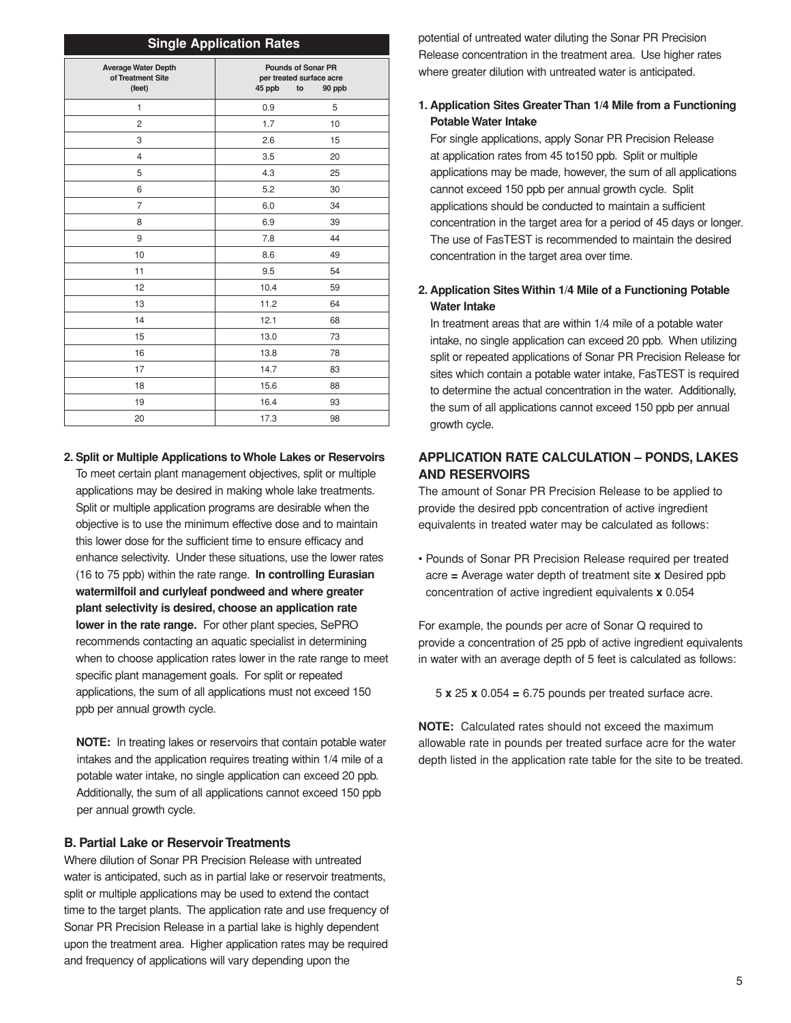| <b>Single Application Rates</b>                           |                                                                                 |    |  |
|-----------------------------------------------------------|---------------------------------------------------------------------------------|----|--|
| <b>Average Water Depth</b><br>of Treatment Site<br>(feet) | <b>Pounds of Sonar PR</b><br>per treated surface acre<br>45 ppb<br>to<br>90 ppb |    |  |
| 1                                                         | 0.9                                                                             | 5  |  |
| 2                                                         | 1.7                                                                             | 10 |  |
| 3                                                         | 2.6                                                                             | 15 |  |
| 4                                                         | 3.5                                                                             | 20 |  |
| 5                                                         | 4.3                                                                             | 25 |  |
| 6                                                         | 5.2                                                                             | 30 |  |
| $\overline{7}$                                            | 6.0                                                                             | 34 |  |
| 8                                                         | 6.9                                                                             | 39 |  |
| 9                                                         | 7.8                                                                             | 44 |  |
| 10                                                        | 8.6                                                                             | 49 |  |
| 11                                                        | 9.5                                                                             | 54 |  |
| 12                                                        | 10.4                                                                            | 59 |  |
| 13                                                        | 11.2                                                                            | 64 |  |
| 14                                                        | 12.1                                                                            | 68 |  |
| 15                                                        | 13.0                                                                            | 73 |  |
| 16                                                        | 13.8                                                                            | 78 |  |
| 17                                                        | 14.7                                                                            | 83 |  |
| 18                                                        | 15.6                                                                            | 88 |  |
| 19                                                        | 16.4                                                                            | 93 |  |
| 20                                                        | 17.3                                                                            | 98 |  |

**2. Split or Multiple Applications to Whole Lakes or Reservoirs**

To meet certain plant management objectives, split or multiple applications may be desired in making whole lake treatments. Split or multiple application programs are desirable when the objective is to use the minimum effective dose and to maintain this lower dose for the sufficient time to ensure efficacy and enhance selectivity. Under these situations, use the lower rates (16 to 75 ppb) within the rate range. **In controlling Eurasian watermilfoil and curlyleaf pondweed and where greater plant selectivity is desired, choose an application rate lower in the rate range.** For other plant species, SePRO recommends contacting an aquatic specialist in determining when to choose application rates lower in the rate range to meet specific plant management goals. For split or repeated applications, the sum of all applications must not exceed 150 ppb per annual growth cycle.

**NOTE:** In treating lakes or reservoirs that contain potable water intakes and the application requires treating within 1/4 mile of a potable water intake, no single application can exceed 20 ppb. Additionally, the sum of all applications cannot exceed 150 ppb per annual growth cycle.

#### **B. Partial Lake or Reservoir Treatments**

Where dilution of Sonar PR Precision Release with untreated water is anticipated, such as in partial lake or reservoir treatments, split or multiple applications may be used to extend the contact time to the target plants. The application rate and use frequency of Sonar PR Precision Release in a partial lake is highly dependent upon the treatment area. Higher application rates may be required and frequency of applications will vary depending upon the

potential of untreated water diluting the Sonar PR Precision Release concentration in the treatment area. Use higher rates where greater dilution with untreated water is anticipated.

#### **1. Application Sites Greater Than 1/4 Mile from a Functioning Potable Water Intake**

For single applications, apply Sonar PR Precision Release at application rates from 45 to150 ppb. Split or multiple applications may be made, however, the sum of all applications cannot exceed 150 ppb per annual growth cycle. Split applications should be conducted to maintain a sufficient concentration in the target area for a period of 45 days or longer. The use of FasTEST is recommended to maintain the desired concentration in the target area over time.

#### **2. Application Sites Within 1/4 Mile of a Functioning Potable Water Intake**

In treatment areas that are within 1/4 mile of a potable water intake, no single application can exceed 20 ppb. When utilizing split or repeated applications of Sonar PR Precision Release for sites which contain a potable water intake, FasTEST is required to determine the actual concentration in the water. Additionally, the sum of all applications cannot exceed 150 ppb per annual growth cycle.

#### **APPLICATION RATE CALCULATION – PONDS, LAKES AND RESERVOIRS**

The amount of Sonar PR Precision Release to be applied to provide the desired ppb concentration of active ingredient equivalents in treated water may be calculated as follows:

• Pounds of Sonar PR Precision Release required per treated acre **=** Average water depth of treatment site **x** Desired ppb concentration of active ingredient equivalents **x** 0.054

For example, the pounds per acre of Sonar Q required to provide a concentration of 25 ppb of active ingredient equivalents in water with an average depth of 5 feet is calculated as follows:

5 **x** 25 **x** 0.054 **=** 6.75 pounds per treated surface acre.

**NOTE:** Calculated rates should not exceed the maximum allowable rate in pounds per treated surface acre for the water depth listed in the application rate table for the site to be treated.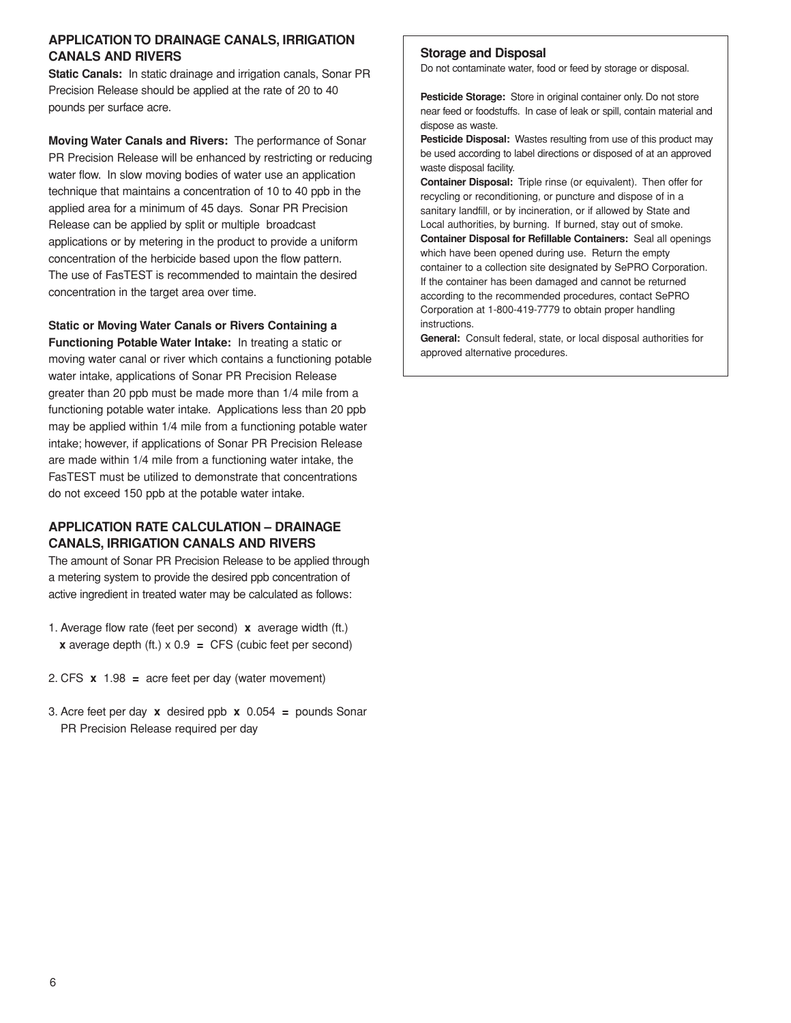#### **APPLICATION TO DRAINAGE CANALS, IRRIGATION CANALS AND RIVERS**

**Static Canals:** In static drainage and irrigation canals, Sonar PR Precision Release should be applied at the rate of 20 to 40 pounds per surface acre.

**Moving Water Canals and Rivers:** The performance of Sonar PR Precision Release will be enhanced by restricting or reducing water flow. In slow moving bodies of water use an application technique that maintains a concentration of 10 to 40 ppb in the applied area for a minimum of 45 days. Sonar PR Precision Release can be applied by split or multiple broadcast applications or by metering in the product to provide a uniform concentration of the herbicide based upon the flow pattern. The use of FasTEST is recommended to maintain the desired concentration in the target area over time.

#### **Static or Moving Water Canals or Rivers Containing a**

**Functioning Potable Water Intake:** In treating a static or moving water canal or river which contains a functioning potable water intake, applications of Sonar PR Precision Release greater than 20 ppb must be made more than 1/4 mile from a functioning potable water intake. Applications less than 20 ppb may be applied within 1/4 mile from a functioning potable water intake; however, if applications of Sonar PR Precision Release are made within 1/4 mile from a functioning water intake, the FasTEST must be utilized to demonstrate that concentrations do not exceed 150 ppb at the potable water intake.

#### **APPLICATION RATE CALCULATION – DRAINAGE CANALS, IRRIGATION CANALS AND RIVERS**

The amount of Sonar PR Precision Release to be applied through a metering system to provide the desired ppb concentration of active ingredient in treated water may be calculated as follows:

- 1. Average flow rate (feet per second) **x** average width (ft.) **x** average depth (ft.) x 0.9 **=** CFS (cubic feet per second)
- 2. CFS **x** 1.98 **=** acre feet per day (water movement)
- 3. Acre feet per day **x** desired ppb **x** 0.054 **=** pounds Sonar PR Precision Release required per day

#### **Storage and Disposal**

Do not contaminate water, food or feed by storage or disposal.

**Pesticide Storage:** Store in original container only. Do not store near feed or foodstuffs. In case of leak or spill, contain material and dispose as waste.

**Pesticide Disposal:** Wastes resulting from use of this product may be used according to label directions or disposed of at an approved waste disposal facility.

**Container Disposal:** Triple rinse (or equivalent). Then offer for recycling or reconditioning, or puncture and dispose of in a sanitary landfill, or by incineration, or if allowed by State and Local authorities, by burning. If burned, stay out of smoke. **Container Disposal for Refillable Containers:** Seal all openings which have been opened during use. Return the empty container to a collection site designated by SePRO Corporation. If the container has been damaged and cannot be returned according to the recommended procedures, contact SePRO Corporation at 1-800-419-7779 to obtain proper handling instructions.

**General:** Consult federal, state, or local disposal authorities for approved alternative procedures.